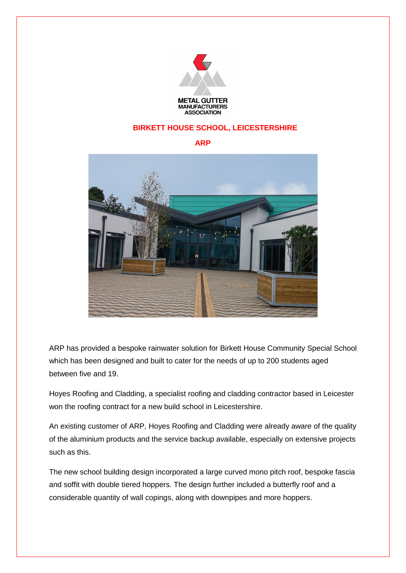

## **BIRKETT HOUSE SCHOOL, LEICESTERSHIRE**

## **ARP**



ARP has provided a bespoke rainwater solution for Birkett House Community Special School which has been designed and built to cater for the needs of up to 200 students aged between five and 19.

Hoyes Roofing and Cladding, a specialist roofing and cladding contractor based in Leicester won the roofing contract for a new build school in Leicestershire.

An existing customer of ARP, Hoyes Roofing and Cladding were already aware of the quality of the aluminium products and the service backup available, especially on extensive projects such as this.

The new school building design incorporated a large curved mono pitch roof, bespoke fascia and soffit with double tiered hoppers. The design further included a butterfly roof and a considerable quantity of wall copings, along with downpipes and more hoppers.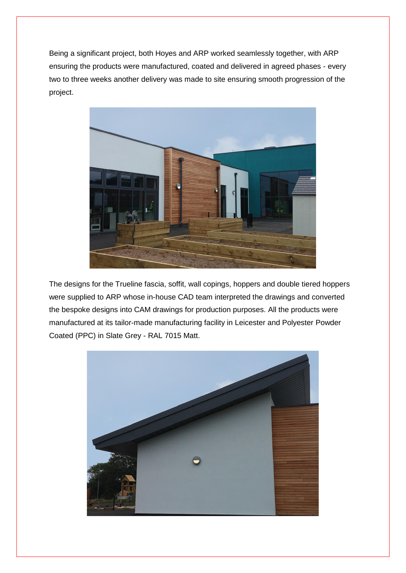Being a significant project, both Hoyes and ARP worked seamlessly together, with ARP ensuring the products were manufactured, coated and delivered in agreed phases - every two to three weeks another delivery was made to site ensuring smooth progression of the project.



The designs for the Trueline fascia, soffit, wall copings, hoppers and double tiered hoppers were supplied to ARP whose in-house CAD team interpreted the drawings and converted the bespoke designs into CAM drawings for production purposes. All the products were manufactured at its tailor-made manufacturing facility in Leicester and Polyester Powder Coated (PPC) in Slate Grey - RAL 7015 Matt.